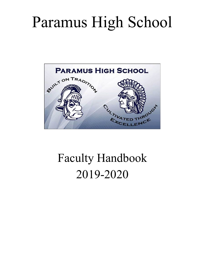# Paramus High School



## Faculty Handbook 2019-2020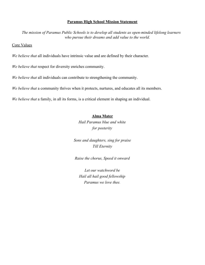#### **Paramus High School Mission Statement**

*The mission of Paramus Public Schools is to develop all students as open-minded lifelong learners who pursue their dreams and add value to the world.*

Core Values

*We believe that* all individuals have intrinsic value and are defined by their character.

*We believe that* respect for diversity enriches community.

*We believe that* all individuals can contribute to strengthening the community.

*We believe that* a community thrives when it protects, nurtures, and educates all its members.

*We believe that* a family, in all its forms, is a critical element in shaping an individual.

#### **Alma Mater**

*Hail Paramus blue and white for posterity*

*Sons and daughters, sing for praise Till Eternity*

*Raise the chorus, Speed it onward*

*Let our watchword be Hail all hail good fellowship Paramus we love thee.*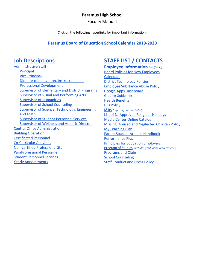#### **Paramus High School**

Faculty Manual

Click on the following hyperlinks for important information.

#### **Paramus Board of Education School Calendar [2019-2020](https://drive.google.com/file/d/1tpLn2avKy9UthBCCcvTZRjGfWGYngiRx/view)**

[Administrative Staff](https://drive.google.com/drive/folders/0B8RLePl4t_1kcjgzaU9OdlZ0YVk) [Principal](https://drive.google.com/open?id=0B8RLePl4t_1kSW1iSHVjcXFTVjA) [Vice Principal](https://drive.google.com/open?id=0B8RLePl4t_1kNUQ2eGpmWS00eW8) [Director of Innovation, Instruction, and](https://drive.google.com/open?id=0B8RLePl4t_1kbmtBRElpUThsSlk) [Professional Development](https://drive.google.com/open?id=0B8RLePl4t_1kbmtBRElpUThsSlk) [Supervisor of Elementary and District Programs](https://drive.google.com/open?id=1QPV_ekZ8e5rMvikqyOqivnEcR5VFzCPz) [Supervisor of Visual and Performing Arts](https://drive.google.com/open?id=0B8RLePl4t_1kdzJzUWtqOGdBV1E) [Supervisor of Humanities](https://drive.google.com/open?id=0B8RLePl4t_1kUmlETkZwUmFMM1k) [Supervisor of School Counseling](https://drive.google.com/open?id=0B8RLePl4t_1kbHhBQnpmNHpoc0U) [Supervisor of Science, Technology, Engineering](https://drive.google.com/open?id=0B8RLePl4t_1kM3YzZ2RVcFRiclk) [and Math](https://drive.google.com/open?id=0B8RLePl4t_1kM3YzZ2RVcFRiclk) [Supervisor of Student Personnel Services](https://drive.google.com/open?id=0B8RLePl4t_1kMFoyTWNpSXlWYVk) [Supervisor of Wellness and Athletic Director](https://drive.google.com/open?id=0B8RLePl4t_1kUEJ4M2w2UFpuOEE) [Central Office Administration](https://drive.google.com/drive/folders/0B8RLePl4t_1kaE04UDRvYmljcE0) [Building Operation](https://drive.google.com/drive/folders/0B8RLePl4t_1kVWVwSkdsRlBCUDA) [Certificated Personnel](https://drive.google.com/drive/folders/0B8RLePl4t_1kQmRabzRfTTMxS2s) [Co-Curricular Activities](https://drive.google.com/drive/folders/0B8RLePl4t_1kMFoxaEhtaHQtTlk) [Non-certified Professional Staff](https://drive.google.com/drive/folders/0B8RLePl4t_1kTC1zal9vYTJQLXM) [ParaProfessional Personnel](https://drive.google.com/drive/folders/0B8RLePl4t_1kUV9XaERudG9hVVU) [Student Personnel Services](https://drive.google.com/drive/folders/0B8RLePl4t_1kTThua21FLVNnekU) [Yearly Appointments](https://drive.google.com/drive/folders/0B8RLePl4t_1kcWM1OWczTFJSdnc)

### **Job Descriptions [STAFF LIST / CONTACTS](http://phs.paramus.k12.nj.us/Staff)**

**Employee [Information](http://www.paramus.k12.nj.us/Employee-Documents)** *(staff only)* [Board Policies for New Employees](https://drive.google.com/drive/folders/0B-An01_LPrklVHI0UzFoYmROZlE?usp=sharing) [Calendars](https://drive.google.com/drive/folders/0B-An01_LPrklZUE5c3lvUHhrWkU?usp=sharing) [District Technology Policies](https://drive.google.com/drive/folders/0B-An01_LPrklcHdRZ0RfZkFNLUE) [Employee Substance Abuse Policy](http://go.boarddocs.com/nj/paramus/Board.nsf/goto?open&id=AKEGQ3445667) [Google Apps Dashboard](https://gsuite.google.com/dashboard) Grading [Guidelines](https://drive.google.com/file/d/0B0cdKM7d2etDaUFFYUY3X0ZQQjA/view) [Health Benefits](http://www.paramus.k12.nj.us/Employee-Resources) [HIB Policy](http://go.boarddocs.com/nj/paramus/Board.nsf/goto?open&id=B2SMD25A9648) [I&RS](https://drive.google.com/drive/folders/0B0cdKM7d2etDQWl5UXFvY1prVms?usp=sharing) *(referral forms included)* [List of NJ Approved Religious Holidays](https://drive.google.com/open?id=0B-An01_LPrklS0xETElCOW1uUGM) [Media Center Online Catalog](https://destiny.paramus.k12.nj.us/) [Missing, Abused and Neglected Children Policy](http://go.boarddocs.com/nj/paramus/Board.nsf/goto?open&id=AMQPWS66A5FA) [My Learning Plan](https://login.frontlineeducation.com/login?signin=32aad1a4eeba85de7f252b79b66c5295&productId=pd&clientId=pd#/login) [Parent Student Athletic Handbook](https://drive.google.com/file/d/1-FDelUfkuAeunpOvwnAxWLipMSou27FA/view?usp=sharing) [Performance Plus](https://paramus-nj.perfplusk12.com/default.asp) [Principles for Education Employers](http://www.paramus.k12.nj.us/Human-Resources) [Program](https://drive.google.com/file/d/1PDOjjIPjFVXJKYzSIeVq1dJw_Pp1aTjp/view?usp=sharing) of Studies *(Includes graduation requirements)* [Programs and Clubs](http://phs.paramus.k12.nj.us/Cocurricular) [School Counseling](http://phs.paramus.k12.nj.us/School-Counseling) [Staff Conduct and Dress Policy](http://go.boarddocs.com/nj/paramus/Board.nsf/goto?open&id=AKEGQ2445666)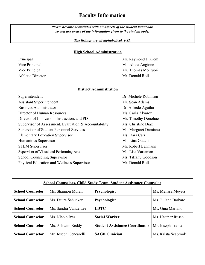#### **Faculty Information**

*Please become acquainted with all aspects of the student handbook so you are aware of the information given to the student body.*

*The listings are all alphabetical. FYI.*

#### **High School Administration**

Principal Mr. Raymond J. Kiem Vice Principal Ms. Alicia Angione Vice Principal Mr. Thomas Montuori Athletic Director Mr. Donald Roll

#### **District Administration**

| Superintendent                                        | Dr. Michele Robinson |
|-------------------------------------------------------|----------------------|
| <b>Assistant Superintendent</b>                       | Mr. Sean Adams       |
| <b>Business Administrator</b>                         | Dr. Alfredo Aguilar  |
| Director of Human Resources                           | Ms. Carla Alvarez    |
| Director of Innovation, Instruction, and PD           | Mr. Timothy Donohue  |
| Supervisor of Assessment, Evaluation & Accountability | Ms. Christine Diaz   |
| <b>Supervisor of Student Personnel Services</b>       | Ms. Margaret Damiano |
| <b>Elementary Education Supervisor</b>                | Ms. Dara Carr        |
| Humanities Supervisor                                 | Ms. Lina Gudelis     |
| <b>STEM Supervisor</b>                                | Mr. Robert Lehmann   |
| Supervisor of Visual and Performing Arts              | Ms. Lisa Vartanian   |
| School Counseling Supervisor                          | Ms. Tiffany Goodson  |
| Physical Education and Wellness Supervisor            | Mr. Donald Roll      |

| <b>School Counselors, Child Study Team, Student Assistance Counselor</b> |                       |                                       |                     |  |
|--------------------------------------------------------------------------|-----------------------|---------------------------------------|---------------------|--|
| <b>School Counselor</b>                                                  | Ms. Shannon Moran     | Psychologist                          | Ms. Melissa Meyers  |  |
| <b>School Counselor</b>                                                  | Ms. Daura Schucker    | Psychologist                          | Ms. Juliana Barbaro |  |
| <b>School Counselor</b>                                                  | Ms. Sandra Vanderzee  | <b>LDTC</b>                           | Ms. Gina Mariano    |  |
| <b>School Counselor</b>                                                  | Ms. Nicole Ives       | <b>Social Worker</b>                  | Ms. Heather Russo   |  |
| <b>School Counselor</b>                                                  | Ms. Ashwini Reddy     | <b>Student Assistance Coordinator</b> | Mr. Joseph Traina   |  |
| <b>School Counselor</b>                                                  | Mr. Joseph Gencarelli | <b>SAGE Clinician</b>                 | Ms. Krista Seabrook |  |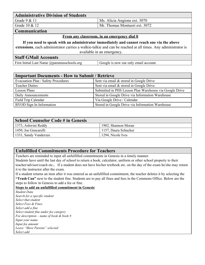| <b>Administrative Division of Students</b> |                               |
|--------------------------------------------|-------------------------------|
| Grade $9 & 11$                             | Ms. Alicia Angione ext. 3070  |
| Grade $10 \& 12$                           | Mr. Thomas Montuori ext. 3072 |
| <b>Communication</b>                       |                               |

#### **From any classroom, in an emergency dial 0**

**If you need to speak with an administrator immediately and cannot reach one via the above extensions**, each administrator carries a walkie-talkie and can be reached at all times. Any administrator is available in an emergency.

#### **Staff GMail Accounts**

First Initial Last Name @paramusschools.org Google is now our only email account.

| <b>Important Documents - How to Submit / Retrieve</b> |                                                         |  |
|-------------------------------------------------------|---------------------------------------------------------|--|
| Evacuation Plan / Safety Procedures                   | Sent via email & stored in Google Drive                 |  |
| <b>Teacher Duties</b>                                 | Sent via email & stored in Google Drive                 |  |
| <b>Lesson Plans</b>                                   | Submitted in PHS Lesson Plan Warehouse via Google Drive |  |
| Daily Announcements                                   | Stored in Google Drive via Information Warehouse        |  |
| Field Trip Calendar                                   | Via Google Drive / Calendar                             |  |
| <b>BYOD</b> Sign In Information                       | Stored in Google Drive via Information Warehouse        |  |

| <b>School Counselor Code # in Genesis</b> |                      |  |
|-------------------------------------------|----------------------|--|
| 1373, Ashwini Reddy                       | 1902, Shannon Moran  |  |
| 1450, Joe Gencarelli                      | 1157, Daura Schucker |  |
| 1331, Sandy Vanderzee                     | 1294, Nicole Ives    |  |

#### **Unfulfilled Commitments Procedure for Teachers**

Teachers are reminded to input all unfulfilled commitments in Genesis in a timely manner.

Students have until the last day of school to return a book, calculator, uniform or other school property to their teacher/advisor/coach etc.**.** If a student does not have his/her textbook etc. on the day of the exam he/she may return it to the instructor after the exam.

If a student returns an item after it was entered as an unfulfilled commitment, the teacher deletes it by selecting the **"Trash Can"** next to the student fine. Students are to pay all fines and fees in the Commons Office. Below are the steps to follow in Genesis to add a fee or fine.

#### **Steps to add an unfulfilled commitment in Genesis**

*Student Data Search for a specific student Select that student Select Fees & Fines Select add a fine Select student fine under fee category Fee description – name of book & book # Input your name Input fee amount Leave "Show Parents" selected Select add*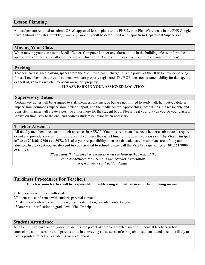#### **Lesson Planning**

All teachers are required to submit QSAC approved lesson plans to the PHS Lesson Plan Warehouse in the PHS Google drive. Submission rates: weekly, bi-weekly, monthly will be determined with input from Department Supervisors.

#### **Moving Your Class**

When moving your class to the Media Center, Computer Lab, or any alternate site in the building, please inform the appropriate administrative office of the move. This is a safety concern in case we need to reach you or a student.

#### **Parking**

Teachers are assigned parking spaces from the Vice Principal in charge. It is the policy of the BOE to provide parking for staff members, visitors, and students who are properly registered. The BOE does not assume liability for damage to, or theft of, vehicles which may occur on school property.

#### **PLEASE PARK IN YOUR ASSIGNED LOCATION.**

#### **Supervisory Duties**

Certain key duties will be assigned to staff members that include but are not limited to study hall, hall duty, cafeteria supervision, commons supervision, office support, and the media center. Approaching these duties in a reasonable and consistent manner will create a positive atmosphere for the student body. Please treat your duty as you do your classes. Arrive on time, stay to the end, and address student behavior when necessary.

#### **Teacher Absences**

All faculty members must submit their absences in AESOP. You must report an absence whether a substitute is required or not and provide a reason for the absence. If you miss the cut off time for the absence, **please call the Vice Principal office at 201.261.7800 ext. 3072.** It is also your responsibility to ensure that adequate lesson plans are left in your absence. In the event you are **delayed in your arrival to school**, please call the Vice Principal office at **201.261.7800 ext. 3072.**

> *Please note that all teacher absences must conform to the terms of the contract between the BOE and the Teacher Association. Refer to your contract for details.*

#### **Tardiness Procedures For Teachers**

**The classroom teacher will be responsible for addressing student lateness in the following manner:**

1 st lateness – conference with student

2<sup>nd</sup> lateness – conference with student; parental contact

- $3<sup>rd</sup>$  lateness conference with student, teacher detention, parental contact again.
- 4 th lateness notification to grade level Vice Principal

#### **Student Attendance**

As a faculty, we have an obligation to identify the potential chronic absenteeism of a student. If teachers, school counselors, administrators, and parents unite in conveying a true sense of caring about student attendance, it is likely to have a positive effect on a student's view of school.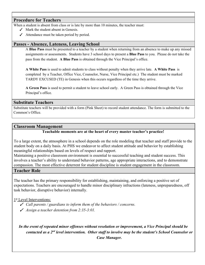#### **Procedure for Teachers**

When a student is absent from class or is late by more than 10 minutes, the teacher must:

- ✓ Mark the student absent in Genesis.
- $\angle$  Attendance must be taken period by period.

#### **Passes - Absence, Lateness, Leaving School**

A **Blue Pass** must be presented to a teacher by a student when returning from an absence to make up any missed assignments or assessments. Students have 3 school days to present a **Blue Pass** to you. Please do not take the pass from the student. **A Blue Pass** is obtained through the Vice Principal's office.

**A White Pass** is used to admit students to class without penalty when they arrive late. **A White Pass** is completed by a Teacher, Office Vice, Counselor, Nurse, Vice Principal etc.) The student must be marked TARDY EXCUSED (TE) in Genesis when this occurs regardless of the time they arrive.

**A Green Pass** is used to permit a student to leave school early. A Green Pass is obtained through the Vice Principal's office.

#### **Substitute Teachers**

Substitute teachers will be provided with a form (Pink Sheet) to record student attendance. The form is submitted to the Common's Office.

#### **Classroom Management**

#### **Teachable moments are at the heart of every master teacher's practice!**

To a large extent, the atmosphere in a school depends on the role modeling that teacher and staff provide to the student body on a daily basis. At PHS we endeavor to affect student attitude and behavior by establishing meaningful relationships based on levels of respect and rapport.

Maintaining a positive classroom environment is essential to successful teaching and student success. This involves a teacher's ability to understand behavior patterns, age appropriate interactions, and to demonstrate compassion. The most effective deterrent for student discipline is student engagement in the classroom.

#### **Teacher Role**

The teacher has the primary responsibility for establishing, maintaining, and enforcing a positive set of expectations. Teachers are encouraged to handle minor disciplinary infractions (lateness, unpreparedness, off task behavior, disruptive behavior) internally.

1st Level Interventions:

- ✓ *Call parents / guardians to inform them of the behaviors / concerns.*
- ✓ *Assign a teacher detention from 2:35-3:01.*

*In the event of repeated minor offenses without resolution or improvement, a Vice Principal should be contacted as a 2nd level intervention. Other staff to involve may be the student's School Counselor or Case Manager.*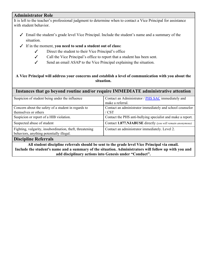#### **Administrator Role**

It is left to the teacher's professional judgment to determine when to contact a Vice Principal for assistance with student behavior.

- ✓ Email the student's grade level Vice Principal. Include the student's name and a summary of the situation.
- ✓ If in the moment, **you need to send a student out of class:**
	- ✓ Direct the student to their Vice Principal's office
	- ✓ Call the Vice Principal's office to report that a student has been sent.
	- ✓ Send an email ASAP to the Vice Principal explaining the situation.

#### **A Vice Principal will address your concerns and establish a level of communication with you about the situation.**

#### **Instances that go beyond routine and/or require IMMEDIATE administrative attention**

| Suspicion of student being under the influence           | Contact an Administrator / PHS SAC immediately and          |
|----------------------------------------------------------|-------------------------------------------------------------|
|                                                          | make a referral.                                            |
| Concern about the safety of a student in regards to      | Contact an administrator immediately and school counselor   |
| themselves or others                                     | $'$ CST                                                     |
| Suspicion or report of a HIB violation.                  | Contact the PHS anti-bullying specialist and make a report. |
| Suspected abuse of student                               | Contact 1.877.NJABUSE directly (you will remain anonymous)  |
| Fighting, vulgarity, insubordination, theft, threatening | Contact an administrator immediately. Level 2.              |
| behaviors, anything potentially illegal.                 |                                                             |
| $\mathbf{D}^*$ is $\mathbf{D}$ for $\mathbf{E}$          |                                                             |

#### **Discipline Referrals**

**All student discipline referrals should be sent to the grade level Vice Principal via email. Include the student's name and a summary of the situation. Administrators will follow up with you and add disciplinary actions into Genesis under "Conduct".**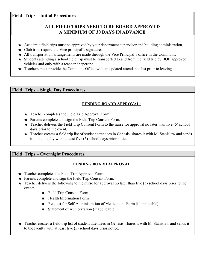#### **Field Trips – Initial Procedures**

#### **ALL FIELD TRIPS NEED TO BE BOARD APPROVED A MINIMUM OF 30 DAYS IN ADVANCE**

- $\star$  Academic field trips must be approved by your department supervisor and building administration
- $\star$  Club trips require the Vice principal's signature.
- ★ All transportation arrangements are made through the Vice Principal's office in the Commons.
- ★ Students attending a school field trip must be transported to and from the field trip by BOE approved vehicles and only with a teacher chaperone.
- $\star$  Teachers must provide the Commons Office with an updated attendance list prior to leaving

#### **Field Trips – Single Day Procedures**

#### **PENDING BOARD APPROVAL:**

- $\star$  Teacher completes the Field Trip Approval Form.
- ★ Parents complete and sign the Field Trip Consent Form.
- $\star$  Teacher delivers the Field Trip Consent Form to the nurse for approval no later than five (5) school days prior to the event.
- $\star$  Teacher creates a field trip list of student attendees in Genesis, shares it with M. Stanislaw and sends it to the faculty with at least five (5) school days prior notice.

#### **Field Trips – Overnight Procedures**

#### **PENDING BOARD APPROVAL:**

- $\star$  Teacher completes the Field Trip Approval Form.
- ★ Parents complete and sign the Field Trip Consent Form.
- $\star$  Teacher delivers the following to the nurse for approval no later than five (5) school days prior to the event:
	- Field Trip Consent Form
	- Health Information Form
	- Request for Self-Administration of Medications Form (if applicable).
	- Statement of Authorization (if applicable)
- ★ Teacher creates a field trip list of student attendees in Genesis, shares it with M. Stanislaw and sends it to the faculty with at least five (5) school days prior notice.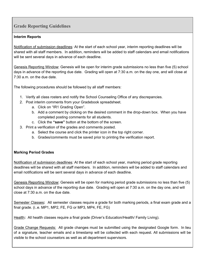#### **Grade Reporting Guidelines**

#### **Interim Reports**

Notification of submission deadlines*:* At the start of each school year, interim reporting deadlines will be shared with all staff members. In addition, reminders will be added to staff calendars and email notifications will be sent several days in advance of each deadline.

Genesis Reporting Window: Genesis will be open for interim grade submissions no less than five (5) school days in advance of the reporting due date. Grading will open at 7:30 a.m. on the day one, and will close at 7:30 a.m. on the due date.

The following procedures should be followed by all staff members:

- 1. Verify all class rosters and notify the School Counseling Office of any discrepancies.
- 2. Post interim comments from your Gradebook spreadsheet.
	- a. Click on "IR1 Grading Open".
	- b. Add a comment by clicking on the desired comment in the drop-down box. When you have completed posting comments for all students.
	- c. Click the **"save"** button at the bottom of the screen.
- 3. Print a verification of the grades and comments posted.
	- a. Select the course and click the printer icon in the top right corner.
	- b. Grades/comments must be saved prior to printing the verification report.

#### **Marking Period Grades**

Notification of submission deadlines*:* At the start of each school year, marking period grade reporting deadlines will be shared with all staff members. In addition, reminders will be added to staff calendars and email notifications will be sent several days in advance of each deadline.

Genesis Reporting Window: Genesis will be open for marking period grade submissions no less than five (5) school days in advance of the reporting due date. Grading will open at 7:30 a.m. on the day one, and will close at 7:30 a.m. on the due date.

Semester Classes**:** All semester classes require a grade for both marking periods, a final exam grade and a final grade. (i..e. MP1, MP2, FE, FG or MP3, MP4, FE, FG)

Health: All health classes require a final grade (Driver's Education/Health/ Family Living).

Grade Change Requests: [A](https://goo.gl/forms/4hOZjWGp6DRHl3Vg1)ll grade changes must be submitted using the designated Google form. In lieu of a signature, teacher emails and a timestamp will be collected with each request. All submissions will be visible to the school counselors as well as all department supervisors.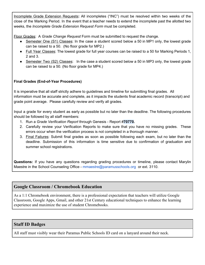Incomplete Grade Extension Requests**:** All incompletes ("INC") must be resolved within two weeks of the close of the Marking Period. In the event that a teacher needs to extend the incomplete past the allotted two weeks, the *Incomplete Grade Extension Request Form* must be completed.

Floor Grades: A *Grade Change Request* Form must be submitted to request the change.

- Semester One (S1) Classes: In the case a student scored below a 50 in MP1 only, the lowest grade can be raised to a 50. (No floor grade for MP2.)
- Full Year Classes: The lowest grade for full year courses can be raised to a 50 for Marking Periods 1, 2 and 3.
- Semester Two (S2) Classes: In the case a student scored below a 50 in MP3 only, the lowest grade can be raised to a 50. (No floor grade for MP4.)

#### **Final Grades (End-of-Year Procedures)**

It is imperative that all staff strictly adhere to guidelines and timeline for submitting final grades. All information must be accurate and complete, as it impacts the students final academic record (transcript) and grade point average. Please carefully review and verify all grades.

Input a grade for every student as early as possible but no later than the deadline. The following procedures should be followed by all staff members:

- 1. Run a *Grade Verification Report* through Genesis Report #**70770.**
- 2. Carefully review your Verification Reports to make sure that you have no missing grades. These errors occur when the verification process is not completed in a thorough manner.
- 3. Final Failures: Submit final grades as soon as possible following each exam, but no later than the deadline. Submission of this information is time sensitive due to confirmation of graduation and summer school registrations.

**Questions:** If you have any questions regarding grading procedures or timeline, please contact Marylin Maestre in the School Counseling Office - mmaestre@paramusschools.org or ext. 3110.

#### **Google Classroom / Chromebook Education**

As a 1:1 Chromebook environment, there is a professional expectation that teachers will utilize Google Classroom, Google Apps, Gmail, and other 21st Century educational techniques to enhance the learning experience and maximize the use of student Chromebooks.

#### **Staff ID Badges**

All staff must visibly wear their Paramus Public Schools ID card on a lanyard around their neck.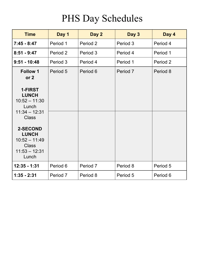## PHS Day Schedules

| <b>Time</b>                                                                                    | Day 1    | Day 2    | Day 3    | Day 4    |
|------------------------------------------------------------------------------------------------|----------|----------|----------|----------|
| $7:45 - 8:47$                                                                                  | Period 1 | Period 2 | Period 3 | Period 4 |
| $8:51 - 9:47$                                                                                  | Period 2 | Period 3 | Period 4 | Period 1 |
| $9:51 - 10:48$                                                                                 | Period 3 | Period 4 | Period 1 | Period 2 |
| <b>Follow 1</b><br>or <sub>2</sub>                                                             | Period 5 | Period 6 | Period 7 | Period 8 |
| 1-FIRST<br><b>LUNCH</b><br>$10:52 - 11:30$<br>Lunch<br>$11:34 - 12:31$                         |          |          |          |          |
| <b>Class</b>                                                                                   |          |          |          |          |
| <b>2-SECOND</b><br><b>LUNCH</b><br>$10:52 - 11:49$<br><b>Class</b><br>$11:53 - 12:31$<br>Lunch |          |          |          |          |
| 12:35 - 1:31                                                                                   | Period 6 | Period 7 | Period 8 | Period 5 |
| $1:35 - 2:31$                                                                                  | Period 7 | Period 8 | Period 5 | Period 6 |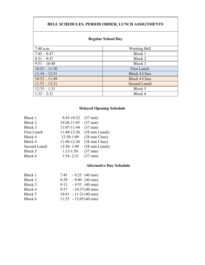#### **BELL SCHEDULES, PERIOD ORDER, LUNCH ASSIGNMENTS**

#### **Regular School Day**

| $7:40$ a.m.     | Warning Bell         |
|-----------------|----------------------|
| $7:45 - 8:47$   | Block 1              |
| $8:51 - 9:47$   | Block 2              |
| $9:51 - 10:48$  | Block 3              |
| $10:52 - 11:30$ | First Lunch          |
| $11:34 - 12:31$ | <b>Block 4 Class</b> |
| $10:52 - 11:49$ | <b>Block 4 Class</b> |
| $11:53 - 12:31$ | Second Lunch         |
| $12:35 - 1:31$  | Block 5              |
| $1:35 - 2:31$   | Block 6              |

#### **Delayed Opening Schedule**

| 9:45-10:22    | $(37 \text{ min})$ |
|---------------|--------------------|
| 10:26-11:03   | $(37 \text{ min})$ |
| 11:07-11:44   | $(37 \text{ min})$ |
| 11:48-12:26   | (38 min Lunch)     |
| 12:30-1:09    | (38 min Class)     |
| 11:48-12:26   | (38 min Class)     |
| 12:30-1:09    | (38 min Lunch)     |
| $1:13-1:50$   | $(37 \text{ min})$ |
| $1:54 - 2:31$ | $(37 \text{ min})$ |
|               |                    |

#### **Alternative Day Schedule**

| Block 1 | 7:45 | $-8:25$ (40 min)                |
|---------|------|---------------------------------|
| Block 2 | 8:29 | $-9:09$ (40 min)                |
| Block 3 | 9:13 | $-9:53$ (40 min)                |
| Block 4 |      | $9:57 - 10:37(40 \text{ min})$  |
| Block 5 |      | $10:41 - 11:21(40 \text{ min})$ |
| Block 6 |      | $11:25 - 12:05(40 \text{ min})$ |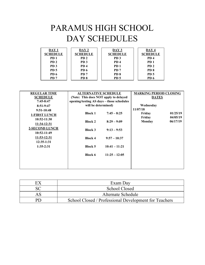## PARAMUS HIGH SCHOOL DAY SCHEDULES

| DAY 1<br><b>SCHEDULE</b> | DAY 2<br><b>SCHEDULE</b> | DAY 3<br><b>SCHEDULE</b> | DAY 4<br><b>SCHEDULE</b> |
|--------------------------|--------------------------|--------------------------|--------------------------|
| PD <sub>1</sub>          | PD <sub>2</sub>          | PD <sub>3</sub>          | PD <sub>4</sub>          |
| PD <sub>2</sub>          | PD <sub>3</sub>          | PD <sub>4</sub>          | PD <sub>1</sub>          |
| PD <sub>3</sub>          | PD <sub>4</sub>          | PD <sub>1</sub>          | PD <sub>2</sub>          |
| <b>PD</b> 5              | PD <sub>6</sub>          | PD <sub>7</sub>          | PD <sub>8</sub>          |
| PD <sub>6</sub>          | PD <sub>7</sub>          | PD <sub>8</sub>          | PD <sub>5</sub>          |
| PD <sub>7</sub>          | PD 8                     | PD <sub>5</sub>          | PD <sub>6</sub>          |

| <b>REGULAR TIME</b>   | <b>ALTERNATIVE SCHEDULE</b>               |                 | <b>MARKING PERIOD CLOSING</b> |          |
|-----------------------|-------------------------------------------|-----------------|-------------------------------|----------|
| <b>SCHEDULE</b>       | (Note: This does NOT apply to delayed     |                 | <b>DATES</b>                  |          |
| $7:45-8:47$           | opening/testing AS days - those schedules |                 |                               |          |
| $8:51-9:47$           | will be determined)                       |                 | Wednesday                     |          |
| $9:51-10:48$          |                                           |                 | 11/07/18                      |          |
| <b>1-FIRST LUNCH</b>  | <b>Block 1</b>                            | $7:45 - 8:25$   | Friday                        | 01/25/19 |
| $10:52-11:30$         |                                           |                 | Friday                        | 04/05/19 |
|                       | <b>Block 2</b>                            | $8:29 - 9:09$   | <b>Monday</b>                 | 06/17/19 |
| 11:34-12:31           |                                           |                 |                               |          |
| <b>2-SECOND LUNCH</b> | <b>Block 3</b>                            | $9:13 - 9:53$   |                               |          |
| 10:52-11:49           |                                           |                 |                               |          |
| 11:53-12:31           | <b>Block 4</b>                            | $9:57 - 10:37$  |                               |          |
| $12:35-1:31$          |                                           |                 |                               |          |
| $1:35-2:31$           | <b>Block 5</b>                            | $10:41 - 11:21$ |                               |          |
|                       |                                           |                 |                               |          |
|                       | <b>Block 6</b>                            | $11:25 - 12:05$ |                               |          |
|                       |                                           |                 |                               |          |
|                       |                                           |                 |                               |          |
|                       |                                           |                 |                               |          |

|    | Exam Day                                              |
|----|-------------------------------------------------------|
|    | <b>School Closed</b>                                  |
| AS | Alternate Schedule                                    |
| PD | School Closed / Professional Development for Teachers |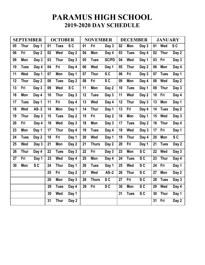### **PARAMUS HIGH SCHOOL 2019-2020 DAY SCHEDULE**

| <b>SEPTEMBER</b> |             | <b>OCTOBER</b> |    |             | <b>NOVEMBER</b> |    |              | <b>DECEMBER</b> |    |             | <b>JANUARY</b> |    |             |                |
|------------------|-------------|----------------|----|-------------|-----------------|----|--------------|-----------------|----|-------------|----------------|----|-------------|----------------|
| 05               | <b>Thur</b> | Day 1          | 01 | <b>Tues</b> | S <sub>C</sub>  | 01 | Fri          | Day 3           | 02 | Mon         | Day 3          | 01 | Wed         | SC             |
| 06               | Fri         | Day 2          | 02 | Wed         | Day 2           | 04 | Mon          | Day 4           | 03 | <b>Tues</b> | Day 4          | 02 | <b>Thur</b> | Day 2          |
| 09               | Mon         | Day 3          | 03 | <b>Thur</b> | Day 3           | 05 | <b>Tues</b>  | <b>SC/PD</b>    | 04 | Wed         | Day 1          | 03 | Fri         | Day 3          |
| 10               | <b>Tues</b> | Day 4          | 04 | Fri         | Day 4           | 06 | Wed          | Day 1           | 05 | <b>Thur</b> | Day 2          | 06 | Mon         | Day 4          |
| 11               | Wed         | Day 1          | 07 | Mon         | Day 1           | 07 | <b>Thur</b>  | S <sub>C</sub>  | 06 | Fri         | Day 3          | 07 | <b>Tues</b> | Day 1          |
| 12               | <b>Thur</b> | Day 2          | 08 | <b>Tues</b> | Day 2           | 08 | Fri          | SC              | 09 | Mon         | Day 4          | 08 | Wed         | Day 2          |
| 13               | Fri         | Day 3          | 09 | Wed         | S <sub>C</sub>  | 11 | Mon          | Day 2           | 10 | <b>Tues</b> | Day 1          | 09 | <b>Thur</b> | Day 3          |
| 16               | Mon         | Day 4          | 10 | <b>Thur</b> | Day 3           | 12 | <b>Tues</b>  | Day 3           | 11 | Wed         | Day 2          | 10 | Fri         | Day 4          |
| 17               | <b>Tues</b> | Day 1          | 11 | Fri         | Day 4           | 13 | Wed          | Day 4           | 12 | <b>Thur</b> | Day 3          | 13 | Mon         | Day 1          |
| 18               | Wed         | <b>AS-2</b>    | 14 | Mon         | Day 1           | 14 | <b>Thur</b>  | Day 1           | 13 | Fri         | Day 4          | 14 | <b>Tues</b> | Day 2          |
| 19               | <b>Thur</b> | Day 3          | 15 | <b>Tues</b> | Day 2           | 15 | Fri          | Day 2           | 16 | Mon         | Day 1          | 15 | Wed         | Day 3          |
| 20               | Fri         | Day 4          | 16 | Wed         | Day 3           | 18 | Mon          | Day 3           | 17 | <b>Tues</b> | Day 2          | 16 | <b>Thur</b> | Day 4          |
| 23               | Mon         | Day 1          | 17 | <b>Thur</b> | Day 4           | 19 | <b>Tues</b>  | Day 4           | 18 | Wed         | Day 3          | 17 | Fri         | Day 1          |
| 24               | <b>Tues</b> | Day 2          | 18 | Fri         | Day 1           | 20 | Wed          | Day 1           | 19 | <b>Thur</b> | Day 4          | 20 | Mon         | S <sub>C</sub> |
| 25               | Wed         | Day 3          | 21 | Mon         | Day 2           | 21 | <b>Thurs</b> | Day 2           | 20 | Fri         | Day 1          | 21 | <b>Tues</b> | Day 2          |
| 26               | <b>Thur</b> | Day 4          | 22 | <b>Tues</b> | Day 3           | 22 | Fri          | Day 3           | 23 | Mon         | S <sub>C</sub> | 22 | Wed         | Day 3          |
| 27               | Fri         | Day 1          | 23 | Wed         | Day 4           | 25 | Mon          | Day 4           | 24 | <b>Tues</b> | S <sub>C</sub> | 23 | <b>Thur</b> | Day 4          |
| 30               | Mon         | S <sub>C</sub> | 24 | <b>Thur</b> | Day 1           | 26 | <b>Tues</b>  | Day 1           | 25 | Wed         | S <sub>C</sub> | 24 | Fri         | Day 1          |
|                  |             |                | 25 | Fri         | Day 2           | 27 | Wed          | $AS-2$          | 26 | <b>Thur</b> | S <sub>C</sub> | 27 | Mon         | Day 2          |
|                  |             |                | 28 | Mon         | Day 3           | 28 | <b>Thurs</b> | S <sub>C</sub>  | 27 | Fri         | S <sub>C</sub> | 28 | <b>Tues</b> | Day 3          |
|                  |             |                | 29 | <b>Tues</b> | Day 4           | 29 | Fri          | S <sub>C</sub>  | 30 | Mon         | SC             | 29 | Wed         | Day 4          |
|                  |             |                | 30 | Wed         | Day 1           |    |              |                 | 31 | <b>Tues</b> | SC             | 30 | <b>Thur</b> | Day 1          |
|                  |             |                | 31 | <b>Thur</b> | Day 2           |    |              |                 |    |             |                | 31 | Fri         | Day 2          |